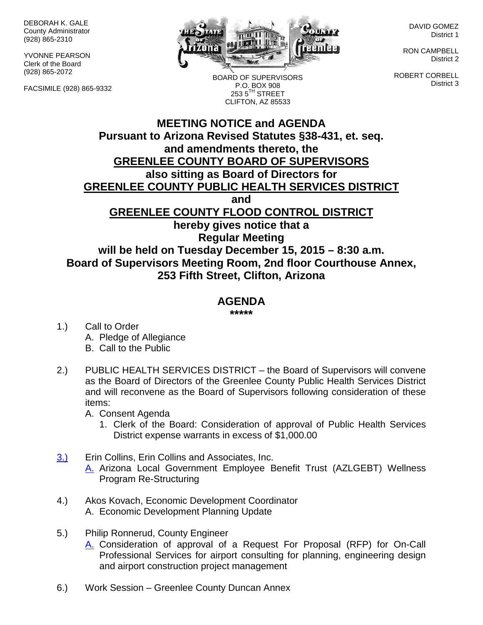DEBORAH K. GALE County Administrator (928) 865-2310

YVONNE PEARSON Clerk of the Board (928) 865-2072

FACSIMILE (928) 865-9332



BOARD OF SUPERVISORS P.O. BOX 908  $2535^{\text{TH}}$  STREET CLIFTON, AZ 85533

DAVID GOMEZ District 1

RON CAMPBELL District 2

ROBERT CORBELL District 3

## **MEETING NOTICE and AGENDA Pursuant to Arizona Revised Statutes §38-431, et. seq. and amendments thereto, the GREENLEE COUNTY BOARD OF SUPERVISORS also sitting as Board of Directors for GREENLEE COUNTY PUBLIC HEALTH SERVICES DISTRICT and GREENLEE COUNTY FLOOD CONTROL DISTRICT hereby gives notice that a Regular Meeting will be held on Tuesday December 15, 2015 – 8:30 a.m. Board of Supervisors Meeting Room, 2nd floor Courthouse Annex, 253 Fifth Street, Clifton, Arizona**

## **AGENDA**

**\*\*\*\*\***

- 1.) Call to Order A. Pledge of Allegiance B. Call to the Public
- 2.) PUBLIC HEALTH SERVICES DISTRICT the Board of Supervisors will convene as the Board of Directors of the Greenlee County Public Health Services District and will reconvene as the Board of Supervisors following consideration of these items:

A. Consent Agenda

- 1. Clerk of the Board: Consideration of approval of Public Health Services District expense warrants in excess of \$1,000.00
- 3.) Erin Collins, Erin Collins and Associates, Inc. A. Arizona Local Government Employee Benefit Trust (AZLGEBT) Wellness Program Re-Structuring
- 4.) Akos Kovach, Economic Development Coordinator A. Economic Development Planning Update
- 5.) Philip Ronnerud, County Engineer
	- A. Consideration of approval of a Request For Proposal (RFP) for On-Call Professional Services for airport consulting for planning, engineering design and airport construction project management
- 6.) Work Session Greenlee County Duncan Annex